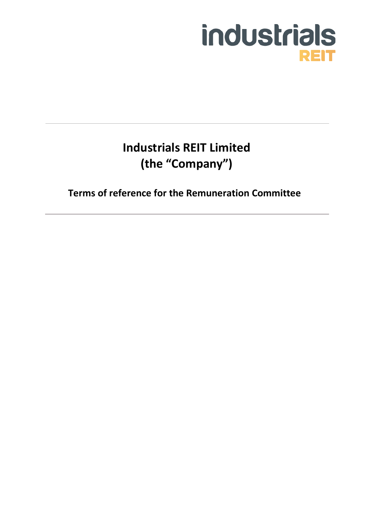# industrials **REIT**

# **Industrials REIT Limited (the "Company")**

**Terms of reference for the Remuneration Committee**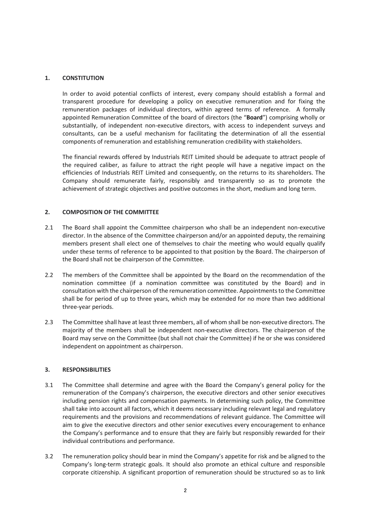# **1. CONSTITUTION**

In order to avoid potential conflicts of interest, every company should establish a formal and transparent procedure for developing a policy on executive remuneration and for fixing the remuneration packages of individual directors, within agreed terms of reference. A formally appointed Remuneration Committee of the board of directors (the "**Board**") comprising wholly or substantially, of independent non-executive directors, with access to independent surveys and consultants, can be a useful mechanism for facilitating the determination of all the essential components of remuneration and establishing remuneration credibility with stakeholders.

The financial rewards offered by Industrials REIT Limited should be adequate to attract people of the required caliber, as failure to attract the right people will have a negative impact on the efficiencies of Industrials REIT Limited and consequently, on the returns to its shareholders. The Company should remunerate fairly, responsibly and transparently so as to promote the achievement of strategic objectives and positive outcomes in the short, medium and long term.

### **2. COMPOSITION OF THE COMMITTEE**

- 2.1 The Board shall appoint the Committee chairperson who shall be an independent non-executive director. In the absence of the Committee chairperson and/or an appointed deputy, the remaining members present shall elect one of themselves to chair the meeting who would equally qualify under these terms of reference to be appointed to that position by the Board. The chairperson of the Board shall not be chairperson of the Committee.
- 2.2 The members of the Committee shall be appointed by the Board on the recommendation of the nomination committee (if a nomination committee was constituted by the Board) and in consultation with the chairperson of the remuneration committee. Appointments to the Committee shall be for period of up to three years, which may be extended for no more than two additional three-year periods.
- 2.3 The Committee shall have at least three members, all of whom shall be non-executive directors. The majority of the members shall be independent non-executive directors. The chairperson of the Board may serve on the Committee (but shall not chair the Committee) if he or she was considered independent on appointment as chairperson.

#### **3. RESPONSIBILITIES**

- 3.1 The Committee shall determine and agree with the Board the Company's general policy for the remuneration of the Company's chairperson, the executive directors and other senior executives including pension rights and compensation payments. In determining such policy, the Committee shall take into account all factors, which it deems necessary including relevant legal and regulatory requirements and the provisions and recommendations of relevant guidance. The Committee will aim to give the executive directors and other senior executives every encouragement to enhance the Company's performance and to ensure that they are fairly but responsibly rewarded for their individual contributions and performance.
- 3.2 The remuneration policy should bear in mind the Company's appetite for risk and be aligned to the Company's long-term strategic goals. It should also promote an ethical culture and responsible corporate citizenship. A significant proportion of remuneration should be structured so as to link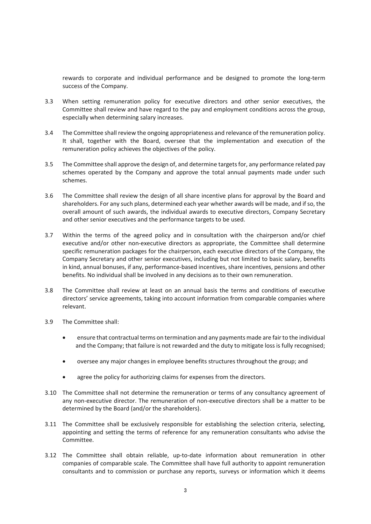rewards to corporate and individual performance and be designed to promote the long-term success of the Company.

- 3.3 When setting remuneration policy for executive directors and other senior executives, the Committee shall review and have regard to the pay and employment conditions across the group, especially when determining salary increases.
- 3.4 The Committee shall review the ongoing appropriateness and relevance of the remuneration policy. It shall, together with the Board, oversee that the implementation and execution of the remuneration policy achieves the objectives of the policy.
- 3.5 The Committee shall approve the design of, and determine targets for, any performance related pay schemes operated by the Company and approve the total annual payments made under such schemes.
- 3.6 The Committee shall review the design of all share incentive plans for approval by the Board and shareholders. For any such plans, determined each year whether awards will be made, and if so, the overall amount of such awards, the individual awards to executive directors, Company Secretary and other senior executives and the performance targets to be used.
- 3.7 Within the terms of the agreed policy and in consultation with the chairperson and/or chief executive and/or other non-executive directors as appropriate, the Committee shall determine specific remuneration packages for the chairperson, each executive directors of the Company, the Company Secretary and other senior executives, including but not limited to basic salary, benefits in kind, annual bonuses, if any, performance-based incentives, share incentives, pensions and other benefits. No individual shall be involved in any decisions as to their own remuneration.
- 3.8 The Committee shall review at least on an annual basis the terms and conditions of executive directors' service agreements, taking into account information from comparable companies where relevant.
- 3.9 The Committee shall:
	- ensure that contractual terms on termination and any payments made are fair to the individual and the Company; that failure is not rewarded and the duty to mitigate loss is fully recognised;
	- oversee any major changes in employee benefits structures throughout the group; and
	- agree the policy for authorizing claims for expenses from the directors.
- 3.10 The Committee shall not determine the remuneration or terms of any consultancy agreement of any non-executive director. The remuneration of non-executive directors shall be a matter to be determined by the Board (and/or the shareholders).
- 3.11 The Committee shall be exclusively responsible for establishing the selection criteria, selecting, appointing and setting the terms of reference for any remuneration consultants who advise the Committee.
- 3.12 The Committee shall obtain reliable, up-to-date information about remuneration in other companies of comparable scale. The Committee shall have full authority to appoint remuneration consultants and to commission or purchase any reports, surveys or information which it deems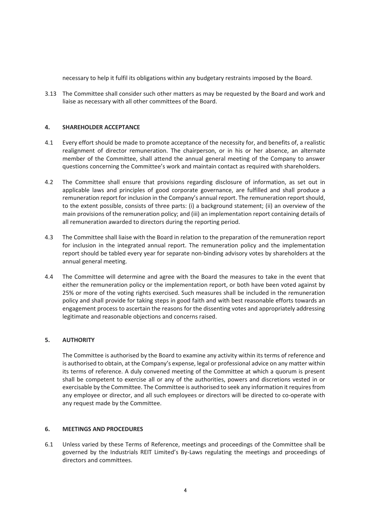necessary to help it fulfil its obligations within any budgetary restraints imposed by the Board.

3.13 The Committee shall consider such other matters as may be requested by the Board and work and liaise as necessary with all other committees of the Board.

## **4. SHAREHOLDER ACCEPTANCE**

- 4.1 Every effort should be made to promote acceptance of the necessity for, and benefits of, a realistic realignment of director remuneration. The chairperson, or in his or her absence, an alternate member of the Committee, shall attend the annual general meeting of the Company to answer questions concerning the Committee's work and maintain contact as required with shareholders.
- 4.2 The Committee shall ensure that provisions regarding disclosure of information, as set out in applicable laws and principles of good corporate governance, are fulfilled and shall produce a remuneration report for inclusion in the Company's annual report. The remuneration report should, to the extent possible, consists of three parts: (i) a background statement; (ii) an overview of the main provisions of the remuneration policy; and (iii) an implementation report containing details of all remuneration awarded to directors during the reporting period.
- 4.3 The Committee shall liaise with the Board in relation to the preparation of the remuneration report for inclusion in the integrated annual report. The remuneration policy and the implementation report should be tabled every year for separate non-binding advisory votes by shareholders at the annual general meeting.
- 4.4 The Committee will determine and agree with the Board the measures to take in the event that either the remuneration policy or the implementation report, or both have been voted against by 25% or more of the voting rights exercised. Such measures shall be included in the remuneration policy and shall provide for taking steps in good faith and with best reasonable efforts towards an engagement process to ascertain the reasons for the dissenting votes and appropriately addressing legitimate and reasonable objections and concerns raised.

# **5. AUTHORITY**

The Committee is authorised by the Board to examine any activity within its terms of reference and is authorised to obtain, at the Company's expense, legal or professional advice on any matter within its terms of reference. A duly convened meeting of the Committee at which a quorum is present shall be competent to exercise all or any of the authorities, powers and discretions vested in or exercisable by the Committee. The Committee is authorised to seek any information it requires from any employee or director, and all such employees or directors will be directed to co-operate with any request made by the Committee.

#### **6. MEETINGS AND PROCEDURES**

6.1 Unless varied by these Terms of Reference, meetings and proceedings of the Committee shall be governed by the Industrials REIT Limited's By-Laws regulating the meetings and proceedings of directors and committees.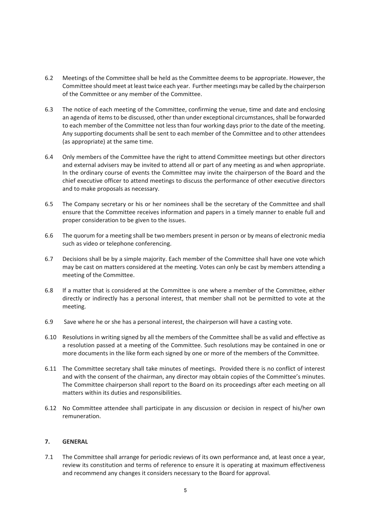- 6.2 Meetings of the Committee shall be held as the Committee deems to be appropriate. However, the Committee should meet at least twice each year. Further meetings may be called by the chairperson of the Committee or any member of the Committee.
- 6.3 The notice of each meeting of the Committee, confirming the venue, time and date and enclosing an agenda of items to be discussed, other than under exceptional circumstances, shall be forwarded to each member of the Committee not less than four working days prior to the date of the meeting. Any supporting documents shall be sent to each member of the Committee and to other attendees (as appropriate) at the same time.
- 6.4 Only members of the Committee have the right to attend Committee meetings but other directors and external advisers may be invited to attend all or part of any meeting as and when appropriate. In the ordinary course of events the Committee may invite the chairperson of the Board and the chief executive officer to attend meetings to discuss the performance of other executive directors and to make proposals as necessary.
- 6.5 The Company secretary or his or her nominees shall be the secretary of the Committee and shall ensure that the Committee receives information and papers in a timely manner to enable full and proper consideration to be given to the issues.
- 6.6 The quorum for a meeting shall be two members present in person or by means of electronic media such as video or telephone conferencing.
- 6.7 Decisions shall be by a simple majority. Each member of the Committee shall have one vote which may be cast on matters considered at the meeting. Votes can only be cast by members attending a meeting of the Committee.
- 6.8 If a matter that is considered at the Committee is one where a member of the Committee, either directly or indirectly has a personal interest, that member shall not be permitted to vote at the meeting.
- 6.9 Save where he or she has a personal interest, the chairperson will have a casting vote.
- 6.10 Resolutions in writing signed by all the members of the Committee shall be as valid and effective as a resolution passed at a meeting of the Committee. Such resolutions may be contained in one or more documents in the like form each signed by one or more of the members of the Committee.
- 6.11 The Committee secretary shall take minutes of meetings. Provided there is no conflict of interest and with the consent of the chairman, any director may obtain copies of the Committee's minutes. The Committee chairperson shall report to the Board on its proceedings after each meeting on all matters within its duties and responsibilities.
- 6.12 No Committee attendee shall participate in any discussion or decision in respect of his/her own remuneration.

#### **7. GENERAL**

7.1 The Committee shall arrange for periodic reviews of its own performance and, at least once a year, review its constitution and terms of reference to ensure it is operating at maximum effectiveness and recommend any changes it considers necessary to the Board for approval.